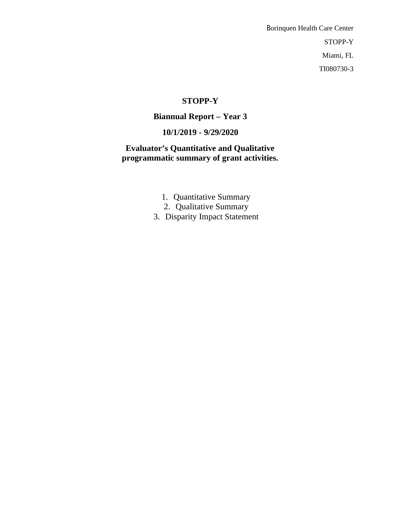Borinquen Health Care Center STOPP-Y Miami, FL TI080730-3

## **STOPP-Y**

# **Biannual Report – Year 3**

# **10/1/2019 - 9/29/2020**

**Evaluator's Quantitative and Qualitative programmatic summary of grant activities.**

- 1. Quantitative Summary
- 2. Qualitative Summary
- 3. Disparity Impact Statement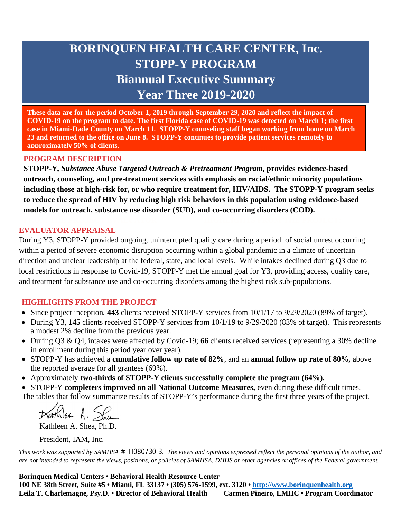# **BORINQUEN HEALTH CARE CENTER, Inc. STOPP-Y PROGRAM Biannual Executive Summary Year Three 2019-2020**

**These data are for the period October 1, 2019 through September 29, 2020 and reflect the impact of COVID-19 on the program to date. The first Florida case of COVID-19 was detected on March 1; the first case in Miami-Dade County on March 11. STOPP-Y counseling staff began working from home on March 23 and returned to the office on June 8. STOPP-Y continues to provide patient services remotely to approximately 50% of clients.**

### **PROGRAM DESCRIPTION**

**STOPP-Y,** *Substance Abuse Targeted Outreach & Pretreatment Program***, provides evidence-based outreach, counseling, and pre-treatment services with emphasis on racial/ethnic minority populations including those at high-risk for, or who require treatment for, HIV/AIDS. The STOPP-Y program seeks to reduce the spread of HIV by reducing high risk behaviors in this population using evidence-based models for outreach, substance use disorder (SUD), and co-occurring disorders (COD).** 

#### **EVALUATOR APPRAISAL**

During Y3, STOPP-Y provided ongoing, uninterrupted quality care during a period of social unrest occurring within a period of severe economic disruption occurring within a global pandemic in a climate of uncertain direction and unclear leadership at the federal, state, and local levels. While intakes declined during Q3 due to local restrictions in response to Covid-19, STOPP-Y met the annual goal for Y3, providing access, quality care, and treatment for substance use and co-occurring disorders among the highest risk sub-populations.

## **HIGHLIGHTS FROM THE PROJECT**

- Since project inception, **443** clients received STOPP-Y services from 10/1/17 to 9/29/2020 (89% of target).
- During Y3, **145** clients received STOPP-Y services from 10/1/19 to 9/29/2020 (83% of target). This represents a modest 2% decline from the previous year.
- During Q3 & Q4, intakes were affected by Covid-19; **66** clients received services (representing a 30% decline in enrollment during this period year over year).
- STOPP-Y has achieved a **cumulative follow up rate of 82%**, and an **annual follow up rate of 80%,** above the reported average for all grantees (69%).
- Approximately **two-thirds of STOPP-Y clients successfully complete the program (64%).**

 STOPP-Y **completers improved on all National Outcome Measures,** even during these difficult times. The tables that follow summarize results of STOPP-Y's performance during the first three years of the project.

Darkilson A. She

Kathleen A. Shea, Ph.D.

President, IAM, Inc.

*This work was supported by SAMHSA #: TI080730-3. The views and opinions expressed reflect the personal opinions of the author, and are not intended to represent the views, positions, or policies of SAMHSA, DHHS or other agencies or offices of the Federal government.*

**Borinquen Medical Centers • Behavioral Health Resource Center 100 NE 38th Street, Suite #5 • Miami, FL 33137 • (305) 576-1599, ext. 3120 • <http://www.borinquenhealth.org>** Leila T. Charlemagne, Psy.D. • Director of Behavioral Health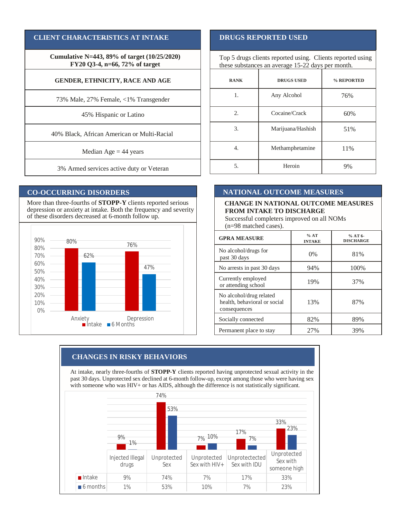#### **CLIENT CHARACTERISTICS AT INTAKE**

**Cumulative N=443, 89% of target (10/25/2020) FY20 Q3-4, n=66, 72% of target**

#### **GENDER, ETHNICITY, RACE AND AGE**

73% Male, 27% Female, <1% Transgender

45% Hispanic or Latino

40% Black, African American or Multi-Racial

Median  $Age = 44$  years

3% Armed services active duty or Veteran

#### **CO-OCCURRING DISORDERS**

More than three-fourths of **STOPP-Y** clients reported serious depression or anxiety at intake. Both the frequency and severity of these disorders decreased at 6-month follow up.



#### **DRUGS REPORTED USED**

Top 5 drugs clients reported using. Clients reported using these substances an average 15-22 days per month.

| <b>RANK</b> | <b>DRUGS USED</b> | % REPORTED |  |  |
|-------------|-------------------|------------|--|--|
| 1.          | Any Alcohol       | 76%        |  |  |
| 2.          | Cocaine/Crack     | 60%        |  |  |
| 3.          | Marijuana/Hashish | 51%        |  |  |
| 4.          | Methamphetamine   | 11%        |  |  |
| 5.          | Heroin            | 9%         |  |  |

#### **NATIONAL OUTCOME MEASURES**

#### **CHANGE IN NATIONAL OUTCOME MEASURES FROM INTAKE TO DISCHARGE**

Successful completers improved on all NOMs (n=98 matched cases).

| <b>GPRA MEASURE</b>                                                     | %AT<br><b>INTAKE</b> | $%$ AT 6-<br><b>DISCHARGE</b> |  |  |
|-------------------------------------------------------------------------|----------------------|-------------------------------|--|--|
| No alcohol/drugs for<br>past 30 days                                    | $0\%$                | 81%                           |  |  |
| No arrests in past 30 days                                              | 94%                  | 100%                          |  |  |
| Currently employed<br>or attending school                               | 19%                  | 37%                           |  |  |
| No alcohol/drug related<br>health, behavioral or social<br>consequences | 13%                  | 87%                           |  |  |
| Socially connected                                                      | 82%                  | 89%                           |  |  |
| Permanent place to stay                                                 | 27%                  | 39%                           |  |  |

#### **CHANGES IN RISKY BEHAVIORS**

At intake, nearly three-fourths of **STOPP-Y** clients reported having unprotected sexual activity in the past 30 days. Unprotected sex declined at 6-month follow-up, except among those who were having sex with someone who was HIV+ or has AIDS, although the difference is not statistically significant.

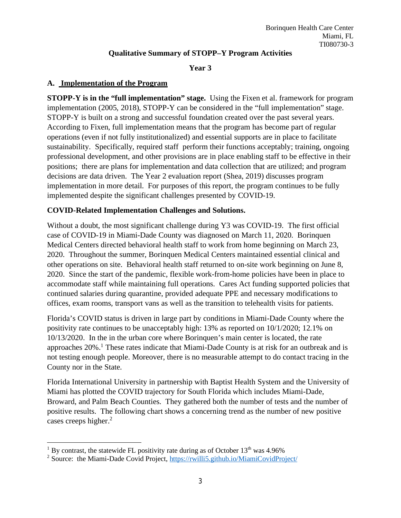## **Qualitative Summary of STOPP–Y Program Activities**

### **Year 3**

## **A. Implementation of the Program**

**STOPP-Y is in the "full implementation" stage.** Using the Fixen et al. framework for program implementation (2005, 2018), STOPP-Y can be considered in the "full implementation" stage. STOPP-Y is built on a strong and successful foundation created over the past several years. According to Fixen, full implementation means that the program has become part of regular operations (even if not fully institutionalized) and essential supports are in place to facilitate sustainability. Specifically, required staff perform their functions acceptably; training, ongoing professional development, and other provisions are in place enabling staff to be effective in their positions; there are plans for implementation and data collection that are utilized; and program decisions are data driven. The Year 2 evaluation report (Shea, 2019) discusses program implementation in more detail. For purposes of this report, the program continues to be fully implemented despite the significant challenges presented by COVID-19.

## **COVID-Related Implementation Challenges and Solutions.**

Without a doubt, the most significant challenge during Y3 was COVID-19. The first official case of COVID-19 in Miami-Dade County was diagnosed on March 11, 2020. Borinquen Medical Centers directed behavioral health staff to work from home beginning on March 23, 2020. Throughout the summer, Borinquen Medical Centers maintained essential clinical and other operations on site. Behavioral health staff returned to on-site work beginning on June 8, 2020. Since the start of the pandemic, flexible work-from-home policies have been in place to accommodate staff while maintaining full operations. Cares Act funding supported policies that continued salaries during quarantine, provided adequate PPE and necessary modifications to offices, exam rooms, transport vans as well as the transition to telehealth visits for patients.

Florida's COVID status is driven in large part by conditions in Miami-Dade County where the positivity rate continues to be unacceptably high: 13% as reported on 10/1/2020; 12.1% on 10/13/2020. In the in the urban core where Borinquen's main center is located, the rate approaches 20%.<sup>1</sup> These rates indicate that Miami-Dade County is at risk for an outbreak and is not testing enough people. Moreover, there is no measurable attempt to do contact tracing in the County nor in the State.

Florida International University in partnership with Baptist Health System and the University of Miami has plotted the COVID trajectory for South Florida which includes Miami-Dade, Broward, and Palm Beach Counties. They gathered both the number of tests and the number of positive results. The following chart shows a concerning trend as the number of new positive cases creeps higher. 2

<sup>&</sup>lt;sup>1</sup> By contrast, the statewide FL positivity rate during as of October  $13<sup>th</sup>$  was 4.96%

<sup>&</sup>lt;sup>2</sup> Source: the Miami-Dade Covid Project,<https://rwilli5.github.io/MiamiCovidProject/>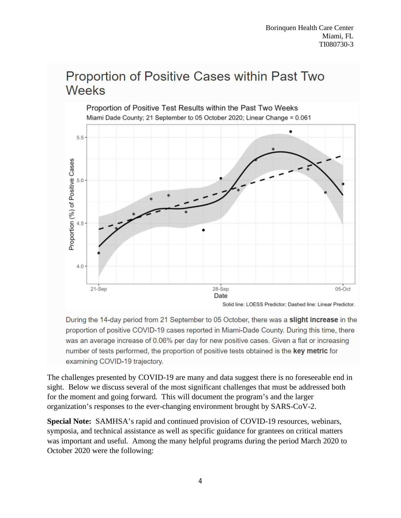# Proportion of Positive Cases within Past Two **Weeks**



During the 14-day period from 21 September to 05 October, there was a slight increase in the proportion of positive COVID-19 cases reported in Miami-Dade County. During this time, there was an average increase of 0.06% per day for new positive cases. Given a flat or increasing number of tests performed, the proportion of positive tests obtained is the key metric for examining COVID-19 trajectory.

The challenges presented by COVID-19 are many and data suggest there is no foreseeable end in sight. Below we discuss several of the most significant challenges that must be addressed both for the moment and going forward. This will document the program's and the larger organization's responses to the ever-changing environment brought by SARS-CoV-2.

**Special Note:** SAMHSA's rapid and continued provision of COVID-19 resources, webinars, symposia, and technical assistance as well as specific guidance for grantees on critical matters was important and useful. Among the many helpful programs during the period March 2020 to October 2020 were the following: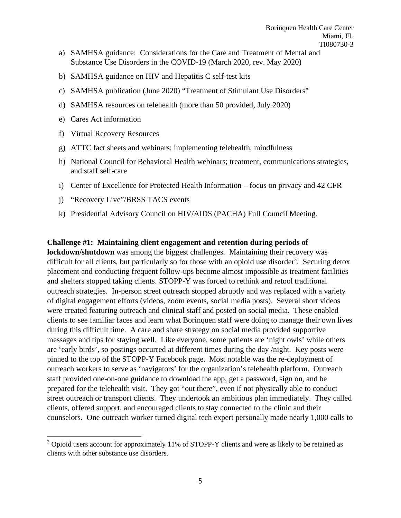- a) SAMHSA guidance: Considerations for the Care and Treatment of Mental and Substance Use Disorders in the COVID-19 (March 2020, rev. May 2020)
- b) SAMHSA guidance on HIV and Hepatitis C self-test kits
- c) SAMHSA publication (June 2020) "Treatment of Stimulant Use Disorders"
- d) SAMHSA resources on telehealth (more than 50 provided, July 2020)
- e) Cares Act information
- f) Virtual Recovery Resources
- g) ATTC fact sheets and webinars; implementing telehealth, mindfulness
- h) National Council for Behavioral Health webinars; treatment, communications strategies, and staff self-care
- i) Center of Excellence for Protected Health Information focus on privacy and 42 CFR
- j) "Recovery Live"/BRSS TACS events
- k) Presidential Advisory Council on HIV/AIDS (PACHA) Full Council Meeting.

#### **Challenge #1: Maintaining client engagement and retention during periods of**

**lockdown/shutdown** was among the biggest challenges. Maintaining their recovery was difficult for all clients, but particularly so for those with an opioid use disorder<sup>3</sup>. Securing detox placement and conducting frequent follow-ups become almost impossible as treatment facilities and shelters stopped taking clients. STOPP-Y was forced to rethink and retool traditional outreach strategies. In-person street outreach stopped abruptly and was replaced with a variety of digital engagement efforts (videos, zoom events, social media posts). Several short videos were created featuring outreach and clinical staff and posted on social media. These enabled clients to see familiar faces and learn what Borinquen staff were doing to manage their own lives during this difficult time. A care and share strategy on social media provided supportive messages and tips for staying well. Like everyone, some patients are 'night owls' while others are 'early birds', so postings occurred at different times during the day /night. Key posts were pinned to the top of the STOPP-Y Facebook page. Most notable was the re-deployment of outreach workers to serve as 'navigators' for the organization's telehealth platform. Outreach staff provided one-on-one guidance to download the app, get a password, sign on, and be prepared for the telehealth visit. They got "out there", even if not physically able to conduct street outreach or transport clients. They undertook an ambitious plan immediately. They called clients, offered support, and encouraged clients to stay connected to the clinic and their counselors. One outreach worker turned digital tech expert personally made nearly 1,000 calls to

<sup>&</sup>lt;sup>3</sup> Opioid users account for approximately 11% of STOPP-Y clients and were as likely to be retained as clients with other substance use disorders.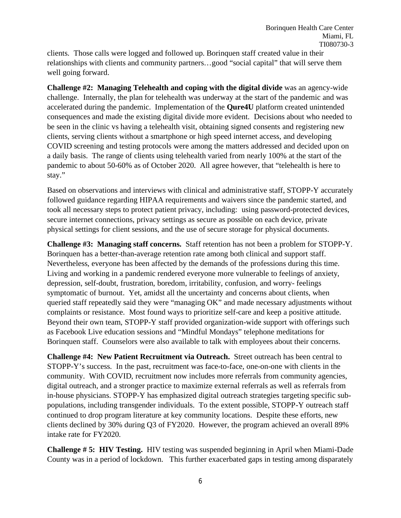clients. Those calls were logged and followed up. Borinquen staff created value in their relationships with clients and community partners…good "social capital" that will serve them well going forward.

**Challenge #2: Managing Telehealth and coping with the digital divide** was an agency-wide challenge. Internally, the plan for telehealth was underway at the start of the pandemic and was accelerated during the pandemic. Implementation of the **Qure4U** platform created unintended consequences and made the existing digital divide more evident. Decisions about who needed to be seen in the clinic vs having a telehealth visit, obtaining signed consents and registering new clients, serving clients without a smartphone or high speed internet access, and developing COVID screening and testing protocols were among the matters addressed and decided upon on a daily basis. The range of clients using telehealth varied from nearly 100% at the start of the pandemic to about 50-60% as of October 2020. All agree however, that "telehealth is here to stay."

Based on observations and interviews with clinical and administrative staff, STOPP-Y accurately followed guidance regarding HIPAA requirements and waivers since the pandemic started, and took all necessary steps to protect patient privacy, including: using password-protected devices, secure internet connections, privacy settings as secure as possible on each device, private physical settings for client sessions, and the use of secure storage for physical documents.

**Challenge #3: Managing staff concerns.** Staff retention has not been a problem for STOPP-Y. Borinquen has a better-than-average retention rate among both clinical and support staff. Nevertheless, everyone has been affected by the demands of the professions during this time. Living and working in a pandemic rendered everyone more vulnerable to feelings of anxiety, depression, self-doubt, frustration, boredom, irritability, confusion, and worry- feelings symptomatic of burnout. Yet, amidst all the uncertainty and concerns about clients, when queried staff repeatedly said they were "managing OK" and made necessary adjustments without complaints or resistance. Most found ways to prioritize self-care and keep a positive attitude. Beyond their own team, STOPP-Y staff provided organization-wide support with offerings such as Facebook Live education sessions and "Mindful Mondays" telephone meditations for Borinquen staff. Counselors were also available to talk with employees about their concerns.

**Challenge #4: New Patient Recruitment via Outreach.** Street outreach has been central to STOPP-Y's success. In the past, recruitment was face-to-face, one-on-one with clients in the community. With COVID, recruitment now includes more referrals from community agencies, digital outreach, and a stronger practice to maximize external referrals as well as referrals from in-house physicians. STOPP-Y has emphasized digital outreach strategies targeting specific subpopulations, including transgender individuals. To the extent possible, STOPP-Y outreach staff continued to drop program literature at key community locations. Despite these efforts, new clients declined by 30% during Q3 of FY2020. However, the program achieved an overall 89% intake rate for FY2020.

**Challenge # 5: HIV Testing.** HIV testing was suspended beginning in April when Miami-Dade County was in a period of lockdown. This further exacerbated gaps in testing among disparately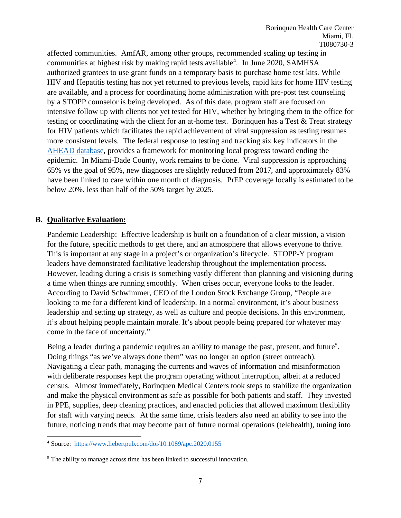affected communities. AmfAR, among other groups, recommended scaling up testing in communities at highest risk by making rapid tests available<sup>4</sup>. In June 2020, SAMHSA authorized grantees to use grant funds on a temporary basis to purchase home test kits. While HIV and Hepatitis testing has not yet returned to previous levels, rapid kits for home HIV testing are available, and a process for coordinating home administration with pre-post test counseling by a STOPP counselor is being developed. As of this date, program staff are focused on intensive follow up with clients not yet tested for HIV, whether by bringing them to the office for testing or coordinating with the client for an at-home test. Borinquen has a Test & Treat strategy for HIV patients which facilitates the rapid achievement of viral suppression as testing resumes more consistent levels. The federal response to testing and tracking six key indicators in the AHEAD database, provides a framework for monitoring local progress toward ending the epidemic. In Miami-Dade County, work remains to be done. Viral suppression is approaching 65% vs the goal of 95%, new diagnoses are slightly reduced from 2017, and approximately 83% have been linked to care within one month of diagnosis. PrEP coverage locally is estimated to be below 20%, less than half of the 50% target by 2025.

### **B. Qualitative Evaluation:**

Pandemic Leadership: Effective leadership is built on a foundation of a clear mission, a vision for the future, specific methods to get there, and an atmosphere that allows everyone to thrive. This is important at any stage in a project's or organization's lifecycle. STOPP-Y program leaders have demonstrated facilitative leadership throughout the implementation process. However, leading during a crisis is something vastly different than planning and visioning during a time when things are running smoothly. When crises occur, everyone looks to the leader. According to David Schwimmer, CEO of the London Stock Exchange Group, "People are looking to me for a different kind of leadership. In a normal environment, it's about business leadership and setting up strategy, as well as culture and people decisions. In this environment, it's about helping people maintain morale. It's about people being prepared for whatever may come in the face of uncertainty."

Being a leader during a pandemic requires an ability to manage the past, present, and future<sup>5</sup>. Doing things "as we've always done them" was no longer an option (street outreach). Navigating a clear path, managing the currents and waves of information and misinformation with deliberate responses kept the program operating without interruption, albeit at a reduced census. Almost immediately, Borinquen Medical Centers took steps to stabilize the organization and make the physical environment as safe as possible for both patients and staff. They invested in PPE, supplies, deep cleaning practices, and enacted policies that allowed maximum flexibility for staff with varying needs. At the same time, crisis leaders also need an ability to see into the future, noticing trends that may become part of future normal operations (telehealth), tuning into

<sup>4</sup> Source: <https://www.liebertpub.com/doi/10.1089/apc.2020.0155>

<sup>&</sup>lt;sup>5</sup> The ability to manage across time has been linked to successful innovation.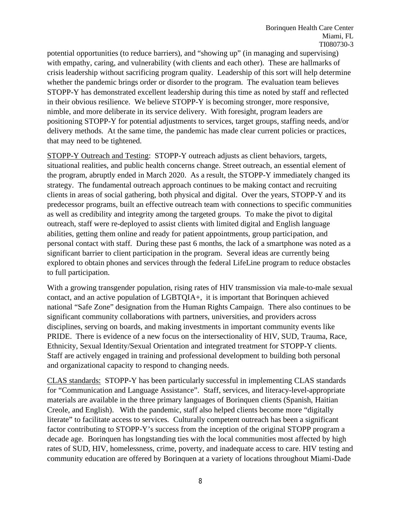potential opportunities (to reduce barriers), and "showing up" (in managing and supervising) with empathy, caring, and vulnerability (with clients and each other). These are hallmarks of crisis leadership without sacrificing program quality. Leadership of this sort will help determine whether the pandemic brings order or disorder to the program. The evaluation team believes STOPP-Y has demonstrated excellent leadership during this time as noted by staff and reflected in their obvious resilience. We believe STOPP-Y is becoming stronger, more responsive, nimble, and more deliberate in its service delivery. With foresight, program leaders are positioning STOPP-Y for potential adjustments to services, target groups, staffing needs, and/or delivery methods. At the same time, the pandemic has made clear current policies or practices, that may need to be tightened.

STOPP-Y Outreach and Testing: STOPP-Y outreach adjusts as client behaviors, targets, situational realities, and public health concerns change. Street outreach, an essential element of the program, abruptly ended in March 2020. As a result, the STOPP-Y immediately changed its strategy. The fundamental outreach approach continues to be making contact and recruiting clients in areas of social gathering, both physical and digital. Over the years, STOPP-Y and its predecessor programs, built an effective outreach team with connections to specific communities as well as credibility and integrity among the targeted groups. To make the pivot to digital outreach, staff were re-deployed to assist clients with limited digital and English language abilities, getting them online and ready for patient appointments, group participation, and personal contact with staff. During these past 6 months, the lack of a smartphone was noted as a significant barrier to client participation in the program. Several ideas are currently being explored to obtain phones and services through the federal LifeLine program to reduce obstacles to full participation.

With a growing transgender population, rising rates of HIV transmission via male-to-male sexual contact, and an active population of LGBTQIA+, it is important that Borinquen achieved national "Safe Zone" designation from the Human Rights Campaign. There also continues to be significant community collaborations with partners, universities, and providers across disciplines, serving on boards, and making investments in important community events like PRIDE. There is evidence of a new focus on the intersectionality of HIV, SUD, Trauma, Race, Ethnicity, Sexual Identity/Sexual Orientation and integrated treatment for STOPP-Y clients. Staff are actively engaged in training and professional development to building both personal and organizational capacity to respond to changing needs.

CLAS standards: STOPP-Y has been particularly successful in implementing CLAS standards for "Communication and Language Assistance". Staff, services, and literacy-level-appropriate materials are available in the three primary languages of Borinquen clients (Spanish, Haitian Creole, and English). With the pandemic, staff also helped clients become more "digitally literate" to facilitate access to services. Culturally competent outreach has been a significant factor contributing to STOPP-Y's success from the inception of the original STOPP program a decade age. Borinquen has longstanding ties with the local communities most affected by high rates of SUD, HIV, homelessness, crime, poverty, and inadequate access to care. HIV testing and community education are offered by Borinquen at a variety of locations throughout Miami-Dade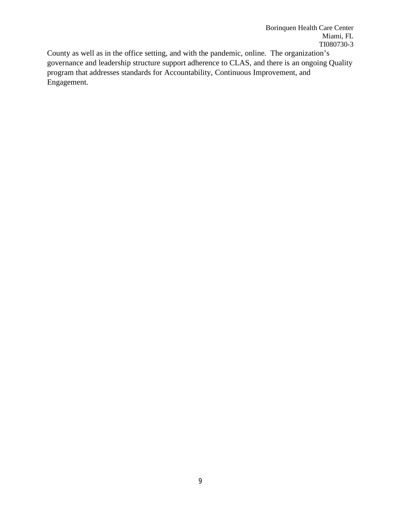County as well as in the office setting, and with the pandemic, online. The organization's governance and leadership structure support adherence to CLAS, and there is an ongoing Quality program that addresses standards for Accountability, Continuous Improvement, and Engagement.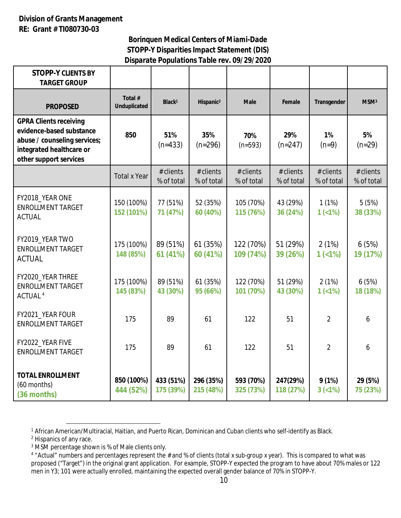## **Division of Grants Management RE: Grant # TI080730-03**

## *Borinquen Medical Centers of Miami-Dade STOPP-Y Disparities Impact Statement (DIS) Disparate Populations Table rev. 09/29/2020*

| <b>STOPP-Y CLIENTS BY</b><br><b>TARGET GROUP</b>                                                                                                |                                |                         |                         |                           |                         |                         |                           |
|-------------------------------------------------------------------------------------------------------------------------------------------------|--------------------------------|-------------------------|-------------------------|---------------------------|-------------------------|-------------------------|---------------------------|
| <b>PROPOSED</b>                                                                                                                                 | Total #<br><b>Unduplicated</b> | Black <sup>1</sup>      | Hispanic <sup>2</sup>   | <b>Male</b>               | Female                  | Transgender             | MSM <sup>3</sup>          |
| <b>GPRA Clients receiving</b><br>evidence-based substance<br>abuse / counseling services;<br>integrated healthcare or<br>other support services | 850                            | 51%<br>$(n=433)$        | 35%<br>$(n=296)$        | 70%<br>$(n=593)$          | 29%<br>$(n=247)$        | 1%<br>$(n=9)$           | 5%<br>$(n=29)$            |
|                                                                                                                                                 | <b>Total x Year</b>            | # clients<br>% of total | # clients<br>% of total | $#$ clients<br>% of total | # clients<br>% of total | # clients<br>% of total | $#$ clients<br>% of total |
| FY2018_YEAR ONE<br><b>ENROLLMENT TARGET</b><br><b>ACTUAL</b>                                                                                    | 150 (100%)<br>152 (101%)       | 77 (51%)<br>71 (47%)    | 52 (35%)<br>60 (40%)    | 105 (70%)<br>115 (76%)    | 43 (29%)<br>36 (24%)    | 1(1%)<br>$1(1\%)$       | 5(5%)<br>38 (33%)         |
| FY2019_YEAR TWO<br><b>ENROLLMENT TARGET</b><br><b>ACTUAL</b>                                                                                    | 175 (100%)<br>148 (85%)        | 89 (51%)<br>61 (41%)    | 61 (35%)<br>60 (41%)    | 122 (70%)<br>109 (74%)    | 51 (29%)<br>39 (26%)    | 2(1%)<br>1(<1%)         | 6(5%)<br>19 (17%)         |
| FY2020_YEAR THREE<br><b>ENROLLMENT TARGET</b><br>ACTUAL <sup>4</sup>                                                                            | 175 (100%)<br>145 (83%)        | 89 (51%)<br>43 (30%)    | 61 (35%)<br>95 (66%)    | 122 (70%)<br>101 (70%)    | 51 (29%)<br>43 (30%)    | 2(1%)<br>$1(1\%)$       | 6(5%)<br>18 (18%)         |
| FY2021_YEAR FOUR<br><b>ENROLLMENT TARGET</b>                                                                                                    | 175                            | 89                      | 61                      | 122                       | 51                      | $\overline{2}$          | 6                         |
| FY2022_YEAR FIVE<br><b>ENROLLMENT TARGET</b>                                                                                                    | 175                            | 89                      | 61                      | 122                       | 51                      | $\overline{2}$          | 6                         |
| <b>TOTAL ENROLLMENT</b><br>$(60$ months)<br>(36 months)                                                                                         | 850 (100%)<br>444 (52%)        | 433 (51%)<br>175 (39%)  | 296 (35%)<br>215 (48%)  | 593 (70%)<br>325 (73%)    | 247(29%)<br>118 (27%)   | 9(1%)<br>$3 (< 1\%)$    | 29 (5%)<br>75 (23%)       |

<sup>1</sup> African American/Multiracial, Haitian, and Puerto Rican, Dominican and Cuban clients who self-identify as Black.

<sup>2</sup> Hispanics of any race.

<sup>3</sup> MSM percentage shown is % of Male clients only.

<sup>4</sup> "Actual" numbers and percentages represent the # and % of clients (total x sub-group x year). This is compared to what was proposed ("Target") in the original grant application. For example, STOPP-Y expected the program to have about 70% males or 122 men in Y3; 101 were actually enrolled, maintaining the expected overall gender balance of 70% in STOPP-Y.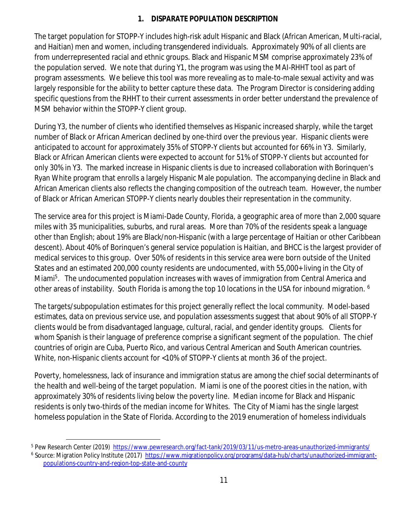# *1. DISPARATE POPULATION DESCRIPTION*

The target population for STOPP-Y includes high-risk adult Hispanic and Black (African American, Multi-racial, and Haitian) men and women, including transgendered individuals. Approximately 90% of all clients are from underrepresented racial and ethnic groups. Black and Hispanic MSM comprise approximately 23% of the population served. We note that during Y1, the program was using the MAI-RHHT tool as part of program assessments. We believe this tool was more revealing as to male-to-male sexual activity and was largely responsible for the ability to better capture these data. The Program Director is considering adding specific questions from the RHHT to their current assessments in order better understand the prevalence of MSM behavior within the STOPP-Y client group.

During Y3, the number of clients who identified themselves as Hispanic increased sharply, while the target number of Black or African American declined by one-third over the previous year. Hispanic clients were anticipated to account for approximately 35% of STOPP-Y clients but accounted for 66% in Y3. Similarly, Black or African American clients were expected to account for 51% of STOPP-Y clients but accounted for only 30% in Y3. The marked increase in Hispanic clients is due to increased collaboration with Borinquen's Ryan White program that enrolls a largely Hispanic Male population. The accompanying decline in Black and African American clients also reflects the changing composition of the outreach team. However, the number of Black or African American STOPP-Y clients nearly doubles their representation in the community.

The service area for this project is Miami-Dade County, Florida, a geographic area of more than 2,000 square miles with 35 municipalities, suburbs, and rural areas. More than 70% of the residents speak a language other than English; about 19% are Black/non-Hispanic (with a large percentage of Haitian or other Caribbean descent). About 40% of Borinquen's general service population is Haitian, and BHCC is the largest provider of medical services to this group. Over 50% of residents in this service area were born outside of the United States and an estimated 200,000 county residents are undocumented, with 55,000+ living in the City of Miami<sup>5</sup>. The undocumented population increases with waves of immigration from Central America and other areas of instability. South Florida is among the top 10 locations in the USA for inbound migration. <sup>6</sup>

The targets/subpopulation estimates for this project generally reflect the local community. Model-based estimates, data on previous service use, and population assessments suggest that about 90% of all STOPP-Y clients would be from disadvantaged language, cultural, racial, and gender identity groups. Clients for whom Spanish is their language of preference comprise a significant segment of the population. The chief countries of origin are Cuba, Puerto Rico, and various Central American and South American countries. White, non-Hispanic clients account for <10% of STOPP-Y clients at month 36 of the project.

Poverty, homelessness, lack of insurance and immigration status are among the chief social determinants of the health and well-being of the target population. Miami is one of the poorest cities in the nation, with approximately 30% of residents living below the poverty line. Median income for Black and Hispanic residents is only two-thirds of the median income for Whites. The City of Miami has the single largest homeless population in the State of Florida. According to the 2019 enumeration of homeless individuals

<sup>5</sup> Pew Research Center (2019) <https://www.pewresearch.org/fact-tank/2019/03/11/us-metro-areas-unauthorized-immigrants/>

<sup>&</sup>lt;sup>6</sup> Source: Migration Policy Institute (2017) [https://www.migrationpolicy.org/programs/data-hub/charts/unauthorized-immigrant](https://www.migrationpolicy.org/programs/data-hub/charts/unauthorized-immigrant-)populations-country-and-region-top-state-and-county